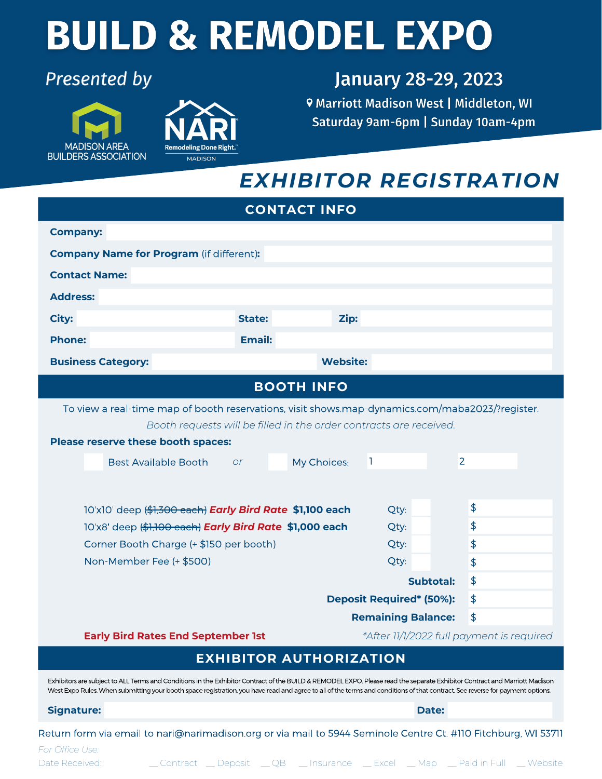# **BUILD & REMODEL EXPO**

#### **Presented by**





### **January 28-29, 2023**

**9 Marriott Madison West | Middleton, WI** Saturday 9am-6pm | Sunday 10am-4pm

## *EXHIBITOR REGISTRATION*

| <b>CONTACT INFO</b>                                                                                                                                                                                                                                                                                                                                         |                                |                                 |                                           |  |
|-------------------------------------------------------------------------------------------------------------------------------------------------------------------------------------------------------------------------------------------------------------------------------------------------------------------------------------------------------------|--------------------------------|---------------------------------|-------------------------------------------|--|
| <b>Company:</b>                                                                                                                                                                                                                                                                                                                                             |                                |                                 |                                           |  |
| <b>Company Name for Program (if different):</b>                                                                                                                                                                                                                                                                                                             |                                |                                 |                                           |  |
| <b>Contact Name:</b>                                                                                                                                                                                                                                                                                                                                        |                                |                                 |                                           |  |
| <b>Address:</b>                                                                                                                                                                                                                                                                                                                                             |                                |                                 |                                           |  |
| <b>City:</b><br><b>State:</b>                                                                                                                                                                                                                                                                                                                               | Zip:                           |                                 |                                           |  |
| <b>Phone:</b><br><b>Email:</b>                                                                                                                                                                                                                                                                                                                              |                                |                                 |                                           |  |
| <b>Business Category:</b>                                                                                                                                                                                                                                                                                                                                   | <b>Website:</b>                |                                 |                                           |  |
| <b>BOOTH INFO</b>                                                                                                                                                                                                                                                                                                                                           |                                |                                 |                                           |  |
| To view a real-time map of booth reservations, visit shows.map-dynamics.com/maba2023/?register.                                                                                                                                                                                                                                                             |                                |                                 |                                           |  |
| Booth requests will be filled in the order contracts are received.                                                                                                                                                                                                                                                                                          |                                |                                 |                                           |  |
| Please reserve these booth spaces:                                                                                                                                                                                                                                                                                                                          |                                |                                 |                                           |  |
| <b>Best Available Booth</b><br><b>or</b>                                                                                                                                                                                                                                                                                                                    | My Choices:                    | П                               | $\overline{2}$                            |  |
|                                                                                                                                                                                                                                                                                                                                                             |                                |                                 |                                           |  |
| 10'x10' deep (\$1,300 each) <b>Early Bird Rate \$1,100 each</b>                                                                                                                                                                                                                                                                                             |                                | Qty:                            | \$                                        |  |
| 10'x8' deep (\$1,100 each) Early Bird Rate \$1,000 each                                                                                                                                                                                                                                                                                                     |                                | Qty:                            | \$                                        |  |
| Corner Booth Charge (+ \$150 per booth)                                                                                                                                                                                                                                                                                                                     |                                | Qty:                            | \$                                        |  |
| Non-Member Fee (+ \$500)                                                                                                                                                                                                                                                                                                                                    |                                | Qty:                            | \$                                        |  |
|                                                                                                                                                                                                                                                                                                                                                             |                                | <b>Subtotal:</b>                | \$                                        |  |
|                                                                                                                                                                                                                                                                                                                                                             |                                | <b>Deposit Required* (50%):</b> | \$                                        |  |
|                                                                                                                                                                                                                                                                                                                                                             |                                | <b>Remaining Balance:</b>       | $\frac{4}{5}$                             |  |
| <b>Early Bird Rates End September 1st</b>                                                                                                                                                                                                                                                                                                                   |                                |                                 | *After 11/1/2022 full payment is required |  |
|                                                                                                                                                                                                                                                                                                                                                             | <b>EXHIBITOR AUTHORIZATION</b> |                                 |                                           |  |
| Exhibitors are subject to ALL Terms and Conditions in the Exhibitor Contract of the BUILD & REMODEL EXPO. Please read the separate Exhibitor Contract and Marriott Madison<br>West Expo Rules. When submitting your booth space registration, you have read and agree to all of the terms and conditions of that contract. See reverse for payment options. |                                |                                 |                                           |  |
| <b>Signature:</b>                                                                                                                                                                                                                                                                                                                                           |                                | Date:                           |                                           |  |
| Return form via email to nari@narimadison.org or via mail to 5944 Seminole Centre Ct. #110 Fitchburg, WI 5371                                                                                                                                                                                                                                               |                                |                                 |                                           |  |

*For Office Use:* Date Received: \_\_\_\_\_\_\_\_\_ Contract \_\_\_ Deposit \_\_\_ QB \_\_\_\_ Insurance \_\_\_ Excel \_\_\_ Map \_\_\_ Paid in Full \_\_\_ Website